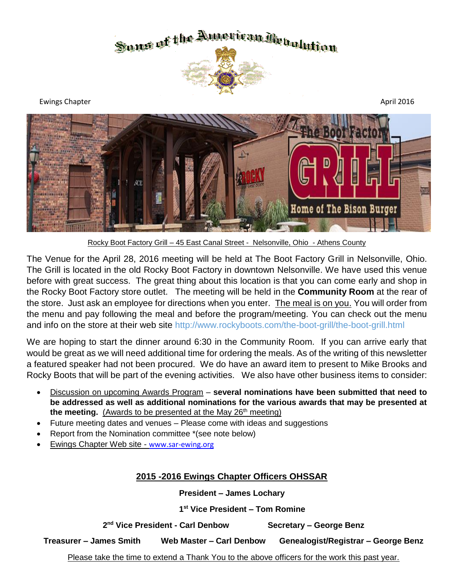



Rocky Boot Factory Grill – 45 East Canal Street - Nelsonville, Ohio - Athens County

The Venue for the April 28, 2016 meeting will be held at The Boot Factory Grill in Nelsonville, Ohio. The Grill is located in the old Rocky Boot Factory in downtown Nelsonville. We have used this venue before with great success. The great thing about this location is that you can come early and shop in the Rocky Boot Factory store outlet. The meeting will be held in the **Community Room** at the rear of the store. Just ask an employee for directions when you enter. The meal is on you. You will order from the menu and pay following the meal and before the program/meeting. You can check out the menu and info on the store at their web site http://www.rockyboots.com/the-boot-grill/the-boot-grill.html

We are hoping to start the dinner around 6:30 in the Community Room. If you can arrive early that would be great as we will need additional time for ordering the meals. As of the writing of this newsletter a featured speaker had not been procured. We do have an award item to present to Mike Brooks and Rocky Boots that will be part of the evening activities. We also have other business items to consider:

- Discussion on upcoming Awards Program **several nominations have been submitted that need to be addressed as well as additional nominations for the various awards that may be presented at the meeting.** (Awards to be presented at the May 26<sup>th</sup> meeting)
- Future meeting dates and venues Please come with ideas and suggestions
- Report from the Nomination committee \*(see note below)
- Ewings Chapter Web site [www.sar-ewing.org](http://www.sar-ewing.org/)

### **2015 -2016 Ewings Chapter Officers OHSSAR**

**President – James Lochary** 

 **1 st Vice President – Tom Romine**

**2 nd Vice President - Carl Denbow Secretary – George Benz**

**Treasurer – James Smith Web Master – Carl Denbow Genealogist/Registrar – George Benz**

Please take the time to extend a Thank You to the above officers for the work this past year.